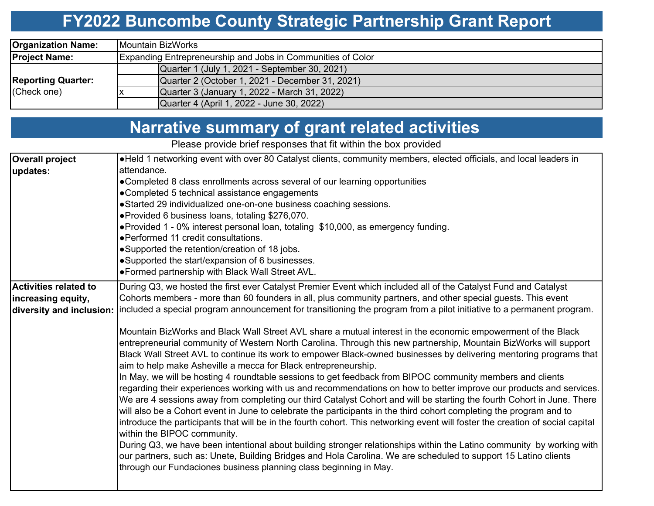## **FY2022 Buncombe County Strategic Partnership Grant Report**

| <b>Organization Name:</b>                | Mountain BizWorks                                           |  |  |  |  |  |  |  |
|------------------------------------------|-------------------------------------------------------------|--|--|--|--|--|--|--|
| <b>Project Name:</b>                     | Expanding Entrepreneurship and Jobs in Communities of Color |  |  |  |  |  |  |  |
|                                          | Quarter 1 (July 1, 2021 - September 30, 2021)               |  |  |  |  |  |  |  |
| <b>Reporting Quarter:</b><br>(Check one) | Quarter 2 (October 1, 2021 - December 31, 2021)             |  |  |  |  |  |  |  |
|                                          | Quarter 3 (January 1, 2022 - March 31, 2022)                |  |  |  |  |  |  |  |
|                                          | Quarter 4 (April 1, 2022 - June 30, 2022)                   |  |  |  |  |  |  |  |

# **Narrative summary of grant related activities**

Please provide brief responses that fit within the box provided

| <b>Overall project</b>       | . Held 1 networking event with over 80 Catalyst clients, community members, elected officials, and local leaders in                                                                                                                                                                                                                                                                                                                                                                                                                   |  |  |  |  |  |  |  |  |  |  |
|------------------------------|---------------------------------------------------------------------------------------------------------------------------------------------------------------------------------------------------------------------------------------------------------------------------------------------------------------------------------------------------------------------------------------------------------------------------------------------------------------------------------------------------------------------------------------|--|--|--|--|--|--|--|--|--|--|
| updates:                     | attendance.                                                                                                                                                                                                                                                                                                                                                                                                                                                                                                                           |  |  |  |  |  |  |  |  |  |  |
|                              | • Completed 8 class enrollments across several of our learning opportunities                                                                                                                                                                                                                                                                                                                                                                                                                                                          |  |  |  |  |  |  |  |  |  |  |
|                              | •Completed 5 technical assistance engagements                                                                                                                                                                                                                                                                                                                                                                                                                                                                                         |  |  |  |  |  |  |  |  |  |  |
|                              | •Started 29 individualized one-on-one business coaching sessions.                                                                                                                                                                                                                                                                                                                                                                                                                                                                     |  |  |  |  |  |  |  |  |  |  |
|                              | ● Provided 6 business loans, totaling \$276,070.                                                                                                                                                                                                                                                                                                                                                                                                                                                                                      |  |  |  |  |  |  |  |  |  |  |
|                              | • Provided 1 - 0% interest personal loan, totaling \$10,000, as emergency funding.                                                                                                                                                                                                                                                                                                                                                                                                                                                    |  |  |  |  |  |  |  |  |  |  |
|                              | ● Performed 11 credit consultations.                                                                                                                                                                                                                                                                                                                                                                                                                                                                                                  |  |  |  |  |  |  |  |  |  |  |
|                              | •Supported the retention/creation of 18 jobs.                                                                                                                                                                                                                                                                                                                                                                                                                                                                                         |  |  |  |  |  |  |  |  |  |  |
|                              | •Supported the start/expansion of 6 businesses.                                                                                                                                                                                                                                                                                                                                                                                                                                                                                       |  |  |  |  |  |  |  |  |  |  |
|                              | •Formed partnership with Black Wall Street AVL.                                                                                                                                                                                                                                                                                                                                                                                                                                                                                       |  |  |  |  |  |  |  |  |  |  |
| <b>Activities related to</b> | During Q3, we hosted the first ever Catalyst Premier Event which included all of the Catalyst Fund and Catalyst                                                                                                                                                                                                                                                                                                                                                                                                                       |  |  |  |  |  |  |  |  |  |  |
| increasing equity,           | Cohorts members - more than 60 founders in all, plus community partners, and other special guests. This event                                                                                                                                                                                                                                                                                                                                                                                                                         |  |  |  |  |  |  |  |  |  |  |
| diversity and inclusion:     | included a special program announcement for transitioning the program from a pilot initiative to a permanent program.                                                                                                                                                                                                                                                                                                                                                                                                                 |  |  |  |  |  |  |  |  |  |  |
|                              |                                                                                                                                                                                                                                                                                                                                                                                                                                                                                                                                       |  |  |  |  |  |  |  |  |  |  |
|                              | Mountain BizWorks and Black Wall Street AVL share a mutual interest in the economic empowerment of the Black                                                                                                                                                                                                                                                                                                                                                                                                                          |  |  |  |  |  |  |  |  |  |  |
|                              | entrepreneurial community of Western North Carolina. Through this new partnership, Mountain BizWorks will support                                                                                                                                                                                                                                                                                                                                                                                                                     |  |  |  |  |  |  |  |  |  |  |
|                              | Black Wall Street AVL to continue its work to empower Black-owned businesses by delivering mentoring programs that<br>aim to help make Asheville a mecca for Black entrepreneurship.                                                                                                                                                                                                                                                                                                                                                  |  |  |  |  |  |  |  |  |  |  |
|                              | In May, we will be hosting 4 roundtable sessions to get feedback from BIPOC community members and clients                                                                                                                                                                                                                                                                                                                                                                                                                             |  |  |  |  |  |  |  |  |  |  |
|                              | regarding their experiences working with us and recommendations on how to better improve our products and services.<br>We are 4 sessions away from completing our third Catalyst Cohort and will be starting the fourth Cohort in June. There<br>will also be a Cohort event in June to celebrate the participants in the third cohort completing the program and to<br>introduce the participants that will be in the fourth cohort. This networking event will foster the creation of social capital<br>within the BIPOC community. |  |  |  |  |  |  |  |  |  |  |
|                              | During Q3, we have been intentional about building stronger relationships within the Latino community by working with<br>our partners, such as: Unete, Building Bridges and Hola Carolina. We are scheduled to support 15 Latino clients<br>through our Fundaciones business planning class beginning in May.                                                                                                                                                                                                                         |  |  |  |  |  |  |  |  |  |  |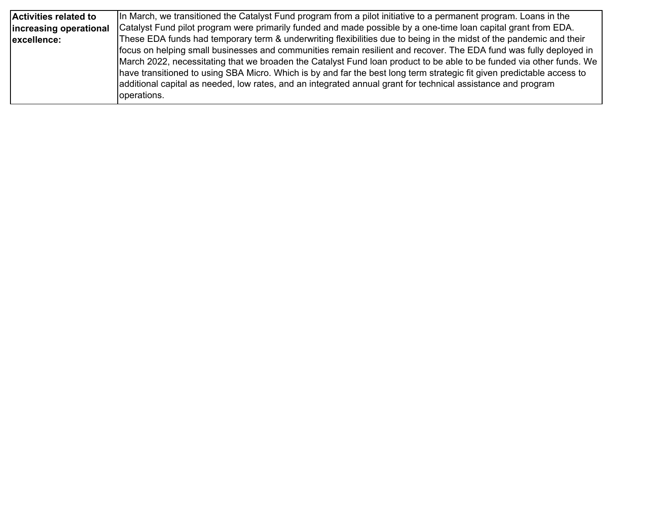| Activities related to  | In March, we transitioned the Catalyst Fund program from a pilot initiative to a permanent program. Loans in the       |
|------------------------|------------------------------------------------------------------------------------------------------------------------|
| increasing operational | Catalyst Fund pilot program were primarily funded and made possible by a one-time loan capital grant from EDA.         |
| excellence:            | These EDA funds had temporary term & underwriting flexibilities due to being in the midst of the pandemic and their    |
|                        | focus on helping small businesses and communities remain resilient and recover. The EDA fund was fully deployed in     |
|                        | March 2022, necessitating that we broaden the Catalyst Fund loan product to be able to be funded via other funds. We   |
|                        | have transitioned to using SBA Micro. Which is by and far the best long term strategic fit given predictable access to |
|                        | additional capital as needed, low rates, and an integrated annual grant for technical assistance and program           |
|                        | operations.                                                                                                            |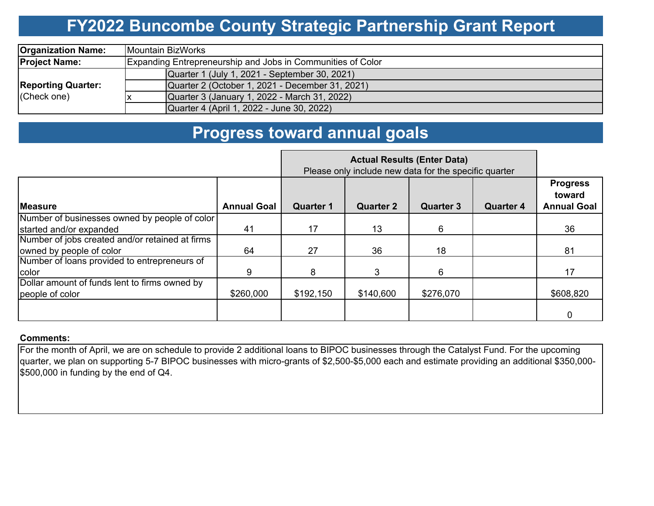## **FY2022 Buncombe County Strategic Partnership Grant Report**

| <b>Organization Name:</b>                | Mountain BizWorks                                           |  |  |  |  |  |  |  |
|------------------------------------------|-------------------------------------------------------------|--|--|--|--|--|--|--|
| <b>Project Name:</b>                     | Expanding Entrepreneurship and Jobs in Communities of Color |  |  |  |  |  |  |  |
| <b>Reporting Quarter:</b><br>(Check one) | Quarter 1 (July 1, 2021 - September 30, 2021)               |  |  |  |  |  |  |  |
|                                          | Quarter 2 (October 1, 2021 - December 31, 2021)             |  |  |  |  |  |  |  |
|                                          | Quarter 3 (January 1, 2022 - March 31, 2022)                |  |  |  |  |  |  |  |
|                                          | Quarter 4 (April 1, 2022 - June 30, 2022)                   |  |  |  |  |  |  |  |

### **Progress toward annual goals**

|                                                 | Please only include new data for the specific quarter |                  |                  |                  |                  |                                                 |
|-------------------------------------------------|-------------------------------------------------------|------------------|------------------|------------------|------------------|-------------------------------------------------|
| <b>IMeasure</b>                                 | <b>Annual Goal</b>                                    | <b>Quarter 1</b> | <b>Quarter 2</b> | <b>Quarter 3</b> | <b>Quarter 4</b> | <b>Progress</b><br>toward<br><b>Annual Goal</b> |
| Number of businesses owned by people of color   |                                                       |                  |                  |                  |                  |                                                 |
| started and/or expanded                         | 41                                                    | 17               | 13               | 6                |                  | 36                                              |
| Number of jobs created and/or retained at firms |                                                       |                  |                  |                  |                  |                                                 |
| owned by people of color                        | 64                                                    | 27               | 36               | 18               |                  | 81                                              |
| Number of loans provided to entrepreneurs of    |                                                       |                  |                  |                  |                  |                                                 |
| color                                           | 9                                                     | 8                | 3                | 6                |                  | 17                                              |
| Dollar amount of funds lent to firms owned by   |                                                       |                  |                  |                  |                  |                                                 |
| people of color                                 | \$260,000                                             | \$192,150        | \$140,600        | \$276,070        |                  | \$608,820                                       |
|                                                 |                                                       |                  |                  |                  |                  | 0                                               |

#### **Comments:**

For the month of April, we are on schedule to provide 2 additional loans to BIPOC businesses through the Catalyst Fund. For the upcoming quarter, we plan on supporting 5-7 BIPOC businesses with micro-grants of \$2,500-\$5,000 each and estimate providing an additional \$350,000- \$500,000 in funding by the end of Q4.